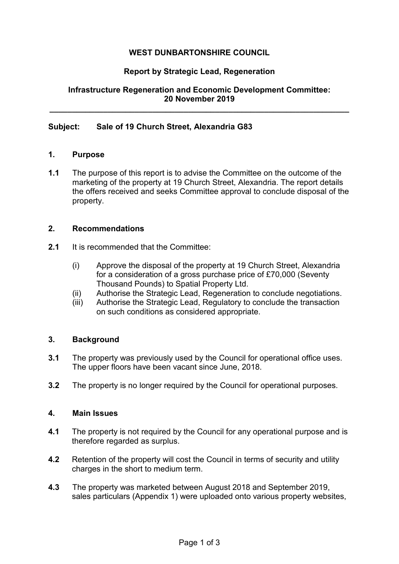# **WEST DUNBARTONSHIRE COUNCIL**

## **Report by Strategic Lead, Regeneration**

## **Infrastructure Regeneration and Economic Development Committee: 20 November 2019**

**\_\_\_\_\_\_\_\_\_\_\_\_\_\_\_\_\_\_\_\_\_\_\_\_\_\_\_\_\_\_\_\_\_\_\_\_\_\_\_\_\_\_\_\_\_\_\_\_\_\_\_\_\_\_\_\_\_\_\_\_\_\_\_\_\_\_\_** 

### **Subject: Sale of 19 Church Street, Alexandria G83**

## **1. Purpose**

**1.1** The purpose of this report is to advise the Committee on the outcome of the marketing of the property at 19 Church Street, Alexandria. The report details the offers received and seeks Committee approval to conclude disposal of the property.

#### **2. Recommendations**

- **2.1** It is recommended that the Committee:
	- (i) Approve the disposal of the property at 19 Church Street, Alexandria for a consideration of a gross purchase price of £70,000 (Seventy Thousand Pounds) to Spatial Property Ltd.
	- (ii) Authorise the Strategic Lead, Regeneration to conclude negotiations.
	- (iii) Authorise the Strategic Lead, Regulatory to conclude the transaction on such conditions as considered appropriate.

### **3. Background**

- **3.1** The property was previously used by the Council for operational office uses. The upper floors have been vacant since June, 2018.
- **3.2** The property is no longer required by the Council for operational purposes.

#### **4. Main Issues**

- **4.1** The property is not required by the Council for any operational purpose and is therefore regarded as surplus.
- **4.2** Retention of the property will cost the Council in terms of security and utility charges in the short to medium term.
- **4.3** The property was marketed between August 2018 and September 2019, sales particulars (Appendix 1) were uploaded onto various property websites,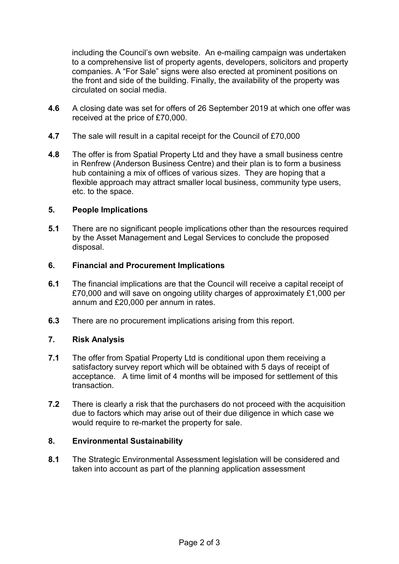including the Council's own website. An e-mailing campaign was undertaken to a comprehensive list of property agents, developers, solicitors and property companies. A "For Sale" signs were also erected at prominent positions on the front and side of the building. Finally, the availability of the property was circulated on social media.

- **4.6** A closing date was set for offers of 26 September 2019 at which one offer was received at the price of £70,000.
- **4.7** The sale will result in a capital receipt for the Council of £70,000
- **4.8** The offer is from Spatial Property Ltd and they have a small business centre in Renfrew (Anderson Business Centre) and their plan is to form a business hub containing a mix of offices of various sizes. They are hoping that a flexible approach may attract smaller local business, community type users, etc. to the space.

### **5. People Implications**

**5.1** There are no significant people implications other than the resources required by the Asset Management and Legal Services to conclude the proposed disposal.

### **6. Financial and Procurement Implications**

- **6.1** The financial implications are that the Council will receive a capital receipt of £70,000 and will save on ongoing utility charges of approximately £1,000 per annum and £20,000 per annum in rates.
- **6.3** There are no procurement implications arising from this report.

# **7. Risk Analysis**

- **7.1** The offer from Spatial Property Ltd is conditional upon them receiving a satisfactory survey report which will be obtained with 5 days of receipt of acceptance. A time limit of 4 months will be imposed for settlement of this transaction.
- **7.2** There is clearly a risk that the purchasers do not proceed with the acquisition due to factors which may arise out of their due diligence in which case we would require to re-market the property for sale.

### **8. Environmental Sustainability**

**8.1** The Strategic Environmental Assessment legislation will be considered and taken into account as part of the planning application assessment